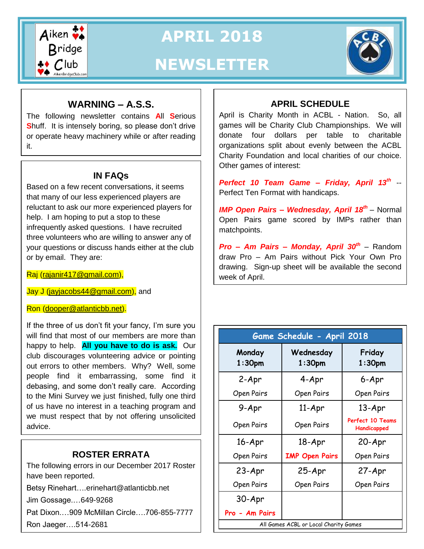

**APRIL 2018**

# **NEWSLETTER**



# **WARNING – A.S.S.**

The following newsletter contains **A**ll **S**erious **S**huff. It is intensely boring, so please don't drive or operate heavy machinery while or after reading it.

## **IN FAQs**

Based on a few recent conversations, it seems that many of our less experienced players are reluctant to ask our more experienced players for help. I am hoping to put a stop to these infrequently asked questions. I have recruited three volunteers who are willing to answer any of your questions or discuss hands either at the club or by email. They are:

Raj [\(rajanir417@gmail.com\)](mailto:rajanir417@gmail.com),

Jay J [\(jayjacobs44@gmail.com\)](mailto:jayjacobs44@gmail.com), and

Ron [\(dooper@atlanticbb.net\)](mailto:dooper@atlanticbb.net).

If the three of us don't fit your fancy, I'm sure you will find that most of our members are more than happy to help. **All you have to do is ask.** Our club discourages volunteering advice or pointing out errors to other members. Why? Well, some people find it embarrassing, some find it debasing, and some don't really care. According to the Mini Survey we just finished, fully one third of us have no interest in a teaching program and we must respect that by not offering unsolicited advice.

# **ROSTER ERRATA**

The following errors in our December 2017 Roster have been reported.

Betsy Rinehart…[.erinehart@atlanticbb.net](mailto:erinehart@atlanticbb.net)

Jim Gossage.…649-9268

Pat Dixon.…909 McMillan Circle….706-855-7777

Ron Jaeger….514-2681

# **APRIL SCHEDULE**

April is Charity Month in ACBL - Nation. So, all games will be Charity Club Championships. We will donate four dollars per table to charitable organizations split about evenly between the ACBL Charity Foundation and local charities of our choice. Other games of interest:

*Perfect 10 Team Game – Friday, April 13th* -- Perfect Ten Format with handicaps.

**IMP Open Pairs - Wednesday, April 18<sup>th</sup> - Normal** Open Pairs game scored by IMPs rather than matchpoints.

*Pro – Am Pairs – Monday, April 30th* – Random draw Pro – Am Pairs without Pick Your Own Pro drawing. Sign-up sheet will be available the second week of April.

| Game Schedule - April 2018            |                        |                                        |  |  |  |
|---------------------------------------|------------------------|----------------------------------------|--|--|--|
| Monday<br>$1:30$ pm                   | Wednesday<br>$1:30$ pm | Friday<br>$1:30$ pm                    |  |  |  |
| 2-Apr                                 | 4-Apr                  | 6-Apr                                  |  |  |  |
| Open Pairs                            | Open Pairs             | Open Pairs                             |  |  |  |
| 9-Apr                                 | $11-Apr$               | $13 - Apr$                             |  |  |  |
| Open Pairs                            | Open Pairs             | <b>Perfect 10 Teams</b><br>Handicapped |  |  |  |
| 16-Apr                                | 18-Apr                 | 20-Apr                                 |  |  |  |
| Open Pairs                            | <b>IMP Open Pairs</b>  | Open Pairs                             |  |  |  |
| 23-Apr                                | 25-Apr                 | 27-Apr                                 |  |  |  |
| Open Pairs                            | Open Pairs             | Open Pairs                             |  |  |  |
| 30-Apr                                |                        |                                        |  |  |  |
| Pro - Am Pairs                        |                        |                                        |  |  |  |
| All Games ACBL or Local Charity Games |                        |                                        |  |  |  |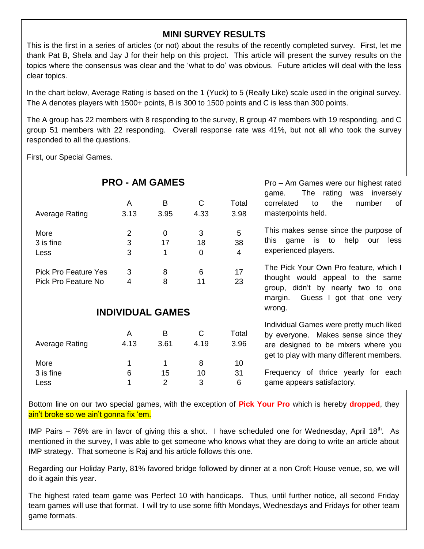## **MINI SURVEY RESULTS**

This is the first in a series of articles (or not) about the results of the recently completed survey. First, let me thank Pat B, Shela and Jay J for their help on this project. This article will present the survey results on the topics where the consensus was clear and the 'what to do' was obvious. Future articles will deal with the less clear topics.

In the chart below, Average Rating is based on the 1 (Yuck) to 5 (Really Like) scale used in the original survey. The A denotes players with 1500+ points, B is 300 to 1500 points and C is less than 300 points.

The A group has 22 members with 8 responding to the survey, B group 47 members with 19 responding, and C group 51 members with 22 responding. Overall response rate was 41%, but not all who took the survey responded to all the questions.

First, our Special Games.

 $\overline{a}$ 

|                             | A              | в    | С    | Total |  |  |  |
|-----------------------------|----------------|------|------|-------|--|--|--|
| <b>Average Rating</b>       | 3.13           | 3.95 | 4.33 | 3.98  |  |  |  |
|                             |                |      |      |       |  |  |  |
| More                        | $\overline{2}$ | 0    | 3    | 5     |  |  |  |
| 3 is fine                   | 3              | 17   | 18   | 38    |  |  |  |
| Less                        | 3              | 1    | 0    | 4     |  |  |  |
|                             |                |      |      |       |  |  |  |
| <b>Pick Pro Feature Yes</b> | 3              | 8    | 6    | 17    |  |  |  |
| Pick Pro Feature No         | 4              | 8    | 11   | 23    |  |  |  |
|                             |                |      |      |       |  |  |  |
|                             |                |      |      |       |  |  |  |
| <b>INDIVIDUAL GAMES</b>     |                |      |      |       |  |  |  |
|                             |                |      |      |       |  |  |  |
|                             | Α              | В    | С    | Total |  |  |  |
| <b>Average Rating</b>       | 4.13           | 3.61 | 4.19 | 3.96  |  |  |  |
|                             |                |      |      |       |  |  |  |
| More                        | 1              |      | 8    | 10    |  |  |  |
| 3 is fine                   | 6              | 15   | 10   | 31    |  |  |  |

Less 1 2 3 6

**PRO - AM GAMES**

Pro – Am Games were our highest rated game. The rating was inversely correlated to the number of masterpoints held.

This makes sense since the purpose of this game is to help our less experienced players.

The Pick Your Own Pro feature, which I thought would appeal to the same group, didn't by nearly two to one margin. Guess I got that one very wrong.

Individual Games were pretty much liked by everyone. Makes sense since they are designed to be mixers where you get to play with many different members.

Frequency of thrice yearly for each game appears satisfactory.

Bottom line on our two special games, with the exception of **Pick Your Pro** which is hereby **dropped**, they ain't broke so we ain't gonna fix 'em.

IMP Pairs – 76% are in favor of giving this a shot. I have scheduled one for Wednesday, April 18<sup>th</sup>. As mentioned in the survey, I was able to get someone who knows what they are doing to write an article about IMP strategy. That someone is Raj and his article follows this one.

Regarding our Holiday Party, 81% favored bridge followed by dinner at a non Croft House venue, so, we will do it again this year.

The highest rated team game was Perfect 10 with handicaps. Thus, until further notice, all second Friday team games will use that format. I will try to use some fifth Mondays, Wednesdays and Fridays for other team game formats.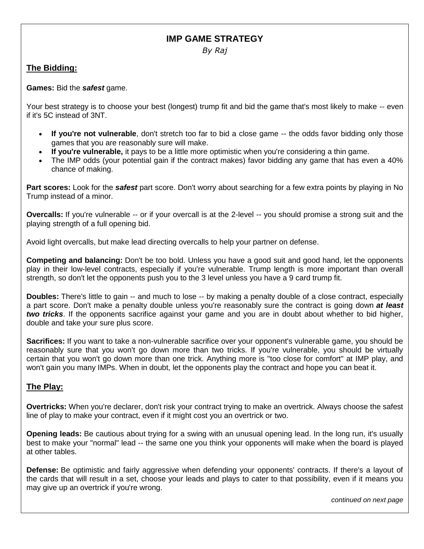## **IMP GAME STRATEGY**

*By Raj*

#### **The Bidding:**

I

**Games:** Bid the *safest* game.

Your best strategy is to choose your best (longest) trump fit and bid the game that's most likely to make -- even if it's 5C instead of 3NT.

- **If you're not vulnerable**, don't stretch too far to bid a close game -- the odds favor bidding only those games that you are reasonably sure will make.
- **If you're vulnerable,** it pays to be a little more optimistic when you're considering a thin game.
- The IMP odds (your potential gain if the contract makes) favor bidding any game that has even a 40% chance of making.

**Part scores:** Look for the *safest* part score. Don't worry about searching for a few extra points by playing in No Trump instead of a minor.

**Overcalls:** If you're vulnerable -- or if your overcall is at the 2-level -- you should promise a strong suit and the playing strength of a full opening bid.

Avoid light overcalls, but make lead directing overcalls to help your partner on defense.

**Competing and balancing:** Don't be too bold. Unless you have a good suit and good hand, let the opponents play in their low-level contracts, especially if you're vulnerable. Trump length is more important than overall strength, so don't let the opponents push you to the 3 level unless you have a 9 card trump fit.

**Doubles:** There's little to gain -- and much to lose -- by making a penalty double of a close contract, especially a part score. Don't make a penalty double unless you're reasonably sure the contract is going down *at least two tricks*. If the opponents sacrifice against your game and you are in doubt about whether to bid higher, double and take your sure plus score.

**Sacrifices:** If you want to take a non-vulnerable sacrifice over your opponent's vulnerable game, you should be reasonably sure that you won't go down more than two tricks. If you're vulnerable, you should be virtually certain that you won't go down more than one trick. Anything more is "too close for comfort" at IMP play, and won't gain you many IMPs. When in doubt, let the opponents play the contract and hope you can beat it.

#### **The Play:**

**Overtricks:** When you're declarer, don't risk your contract trying to make an overtrick. Always choose the safest line of play to make your contract, even if it might cost you an overtrick or two.

**Opening leads:** Be cautious about trying for a swing with an unusual opening lead. In the long run, it's usually best to make your "normal" lead -- the same one you think your opponents will make when the board is played at other tables.

**Defense:** Be optimistic and fairly aggressive when defending your opponents' contracts. If there's a layout of the cards that will result in a set, choose your leads and plays to cater to that possibility, even if it means you may give up an overtrick if you're wrong.

*continued on next page*